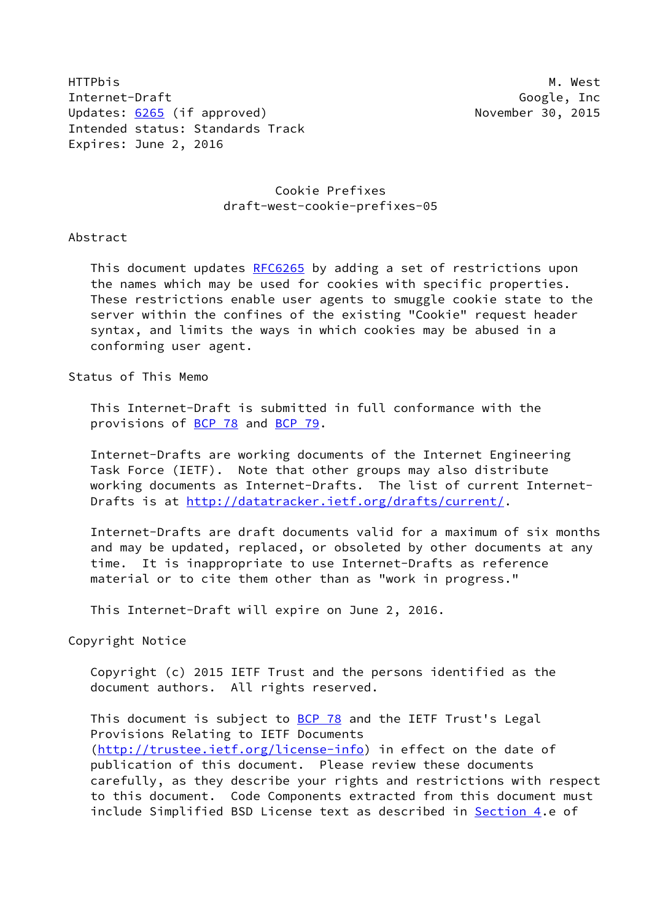HTTPbis M. West Internet-Draft Google, Inc Updates: [6265](https://datatracker.ietf.org/doc/pdf/rfc6265) (if approved) Updates: 6265 (if approved) Intended status: Standards Track Expires: June 2, 2016

## Cookie Prefixes draft-west-cookie-prefixes-05

## Abstract

This document updates [RFC6265](https://datatracker.ietf.org/doc/pdf/rfc6265) by adding a set of restrictions upon the names which may be used for cookies with specific properties. These restrictions enable user agents to smuggle cookie state to the server within the confines of the existing "Cookie" request header syntax, and limits the ways in which cookies may be abused in a conforming user agent.

Status of This Memo

 This Internet-Draft is submitted in full conformance with the provisions of [BCP 78](https://datatracker.ietf.org/doc/pdf/bcp78) and [BCP 79](https://datatracker.ietf.org/doc/pdf/bcp79).

 Internet-Drafts are working documents of the Internet Engineering Task Force (IETF). Note that other groups may also distribute working documents as Internet-Drafts. The list of current Internet Drafts is at<http://datatracker.ietf.org/drafts/current/>.

 Internet-Drafts are draft documents valid for a maximum of six months and may be updated, replaced, or obsoleted by other documents at any time. It is inappropriate to use Internet-Drafts as reference material or to cite them other than as "work in progress."

This Internet-Draft will expire on June 2, 2016.

Copyright Notice

 Copyright (c) 2015 IETF Trust and the persons identified as the document authors. All rights reserved.

This document is subject to **[BCP 78](https://datatracker.ietf.org/doc/pdf/bcp78)** and the IETF Trust's Legal Provisions Relating to IETF Documents [\(http://trustee.ietf.org/license-info](http://trustee.ietf.org/license-info)) in effect on the date of publication of this document. Please review these documents carefully, as they describe your rights and restrictions with respect to this document. Code Components extracted from this document must include Simplified BSD License text as described in [Section 4.](#page-3-0)e of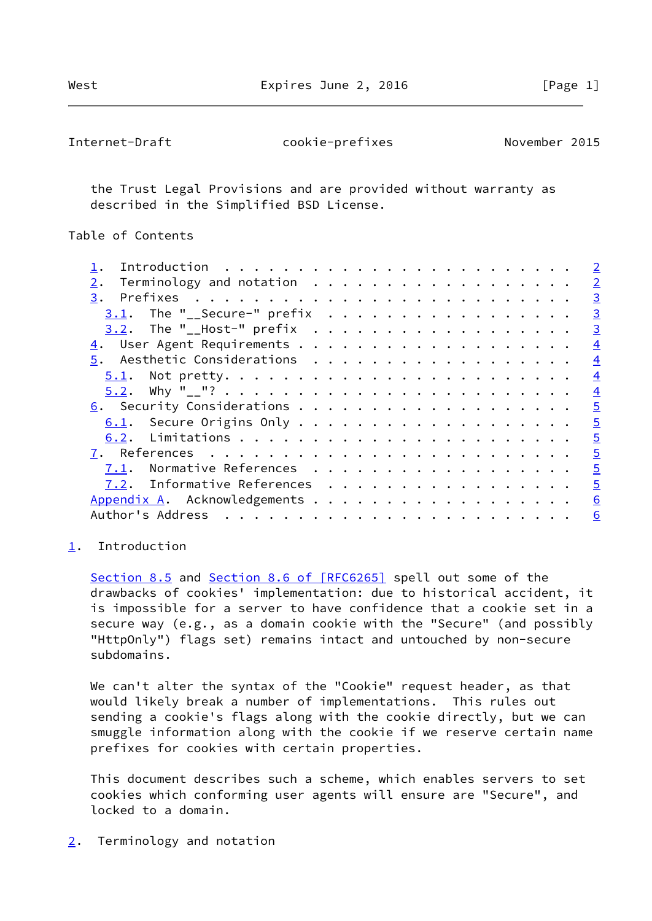<span id="page-1-1"></span>Internet-Draft cookie-prefixes November 2015

 the Trust Legal Provisions and are provided without warranty as described in the Simplified BSD License.

Table of Contents

|                                |                                                                           |  |  |  |  |  |  |  |  |  |  |  | $\overline{2}$ |
|--------------------------------|---------------------------------------------------------------------------|--|--|--|--|--|--|--|--|--|--|--|----------------|
| 2.                             | Terminology and notation                                                  |  |  |  |  |  |  |  |  |  |  |  | $\overline{2}$ |
| 3.                             | Prefixes $\ldots \ldots \ldots \ldots \ldots \ldots \ldots \ldots \ldots$ |  |  |  |  |  |  |  |  |  |  |  | $\overline{3}$ |
| $3.1$ . The "__Secure-" prefix |                                                                           |  |  |  |  |  |  |  |  |  |  |  | $\overline{3}$ |
| $3.2$ . The "__Host-" prefix   |                                                                           |  |  |  |  |  |  |  |  |  |  |  | $\overline{3}$ |
|                                |                                                                           |  |  |  |  |  |  |  |  |  |  |  | $\overline{4}$ |
| 5. Aesthetic Considerations    |                                                                           |  |  |  |  |  |  |  |  |  |  |  | $\overline{4}$ |
|                                |                                                                           |  |  |  |  |  |  |  |  |  |  |  | $\overline{4}$ |
|                                |                                                                           |  |  |  |  |  |  |  |  |  |  |  | $\overline{4}$ |
|                                |                                                                           |  |  |  |  |  |  |  |  |  |  |  | $\overline{5}$ |
|                                |                                                                           |  |  |  |  |  |  |  |  |  |  |  | $\overline{5}$ |
|                                |                                                                           |  |  |  |  |  |  |  |  |  |  |  | $\overline{5}$ |
|                                |                                                                           |  |  |  |  |  |  |  |  |  |  |  | $\overline{5}$ |
| 7.1. Normative References      |                                                                           |  |  |  |  |  |  |  |  |  |  |  | $\overline{5}$ |
| 7.2. Informative References    |                                                                           |  |  |  |  |  |  |  |  |  |  |  | $\overline{5}$ |
| Appendix A. Acknowledgements   |                                                                           |  |  |  |  |  |  |  |  |  |  |  | 6              |
|                                |                                                                           |  |  |  |  |  |  |  |  |  |  |  | 6              |

<span id="page-1-0"></span>[1](#page-1-0). Introduction

Section 8.5 and Section [8.6 of \[RFC6265\]](https://datatracker.ietf.org/doc/pdf/rfc6265#section-8.6) spell out some of the drawbacks of cookies' implementation: due to historical accident, it is impossible for a server to have confidence that a cookie set in a secure way (e.g., as a domain cookie with the "Secure" (and possibly "HttpOnly") flags set) remains intact and untouched by non-secure subdomains.

 We can't alter the syntax of the "Cookie" request header, as that would likely break a number of implementations. This rules out sending a cookie's flags along with the cookie directly, but we can smuggle information along with the cookie if we reserve certain name prefixes for cookies with certain properties.

 This document describes such a scheme, which enables servers to set cookies which conforming user agents will ensure are "Secure", and locked to a domain.

<span id="page-1-2"></span>[2](#page-1-2). Terminology and notation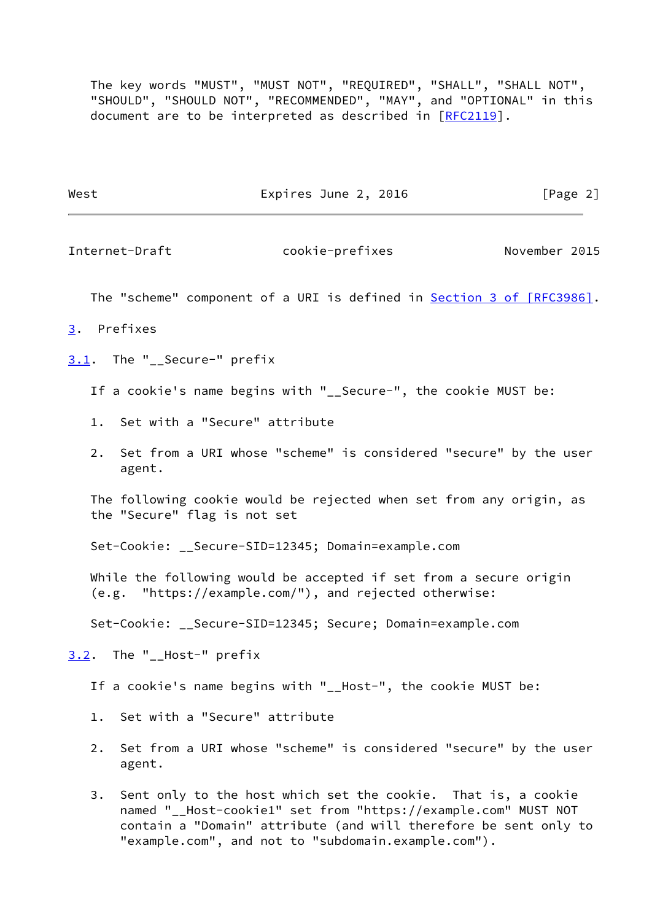The key words "MUST", "MUST NOT", "REQUIRED", "SHALL", "SHALL NOT", "SHOULD", "SHOULD NOT", "RECOMMENDED", "MAY", and "OPTIONAL" in this document are to be interpreted as described in [\[RFC2119](https://datatracker.ietf.org/doc/pdf/rfc2119)].

West Expires June 2, 2016 [Page 2]

<span id="page-2-1"></span>

Internet-Draft cookie-prefixes November 2015

The "scheme" component of a URI is defined in **Section [3 of \[RFC3986\]](https://datatracker.ietf.org/doc/pdf/rfc3986#section-3)**.

- <span id="page-2-0"></span>[3](#page-2-0). Prefixes
- <span id="page-2-2"></span>[3.1](#page-2-2). The "\_\_Secure-" prefix

If a cookie's name begins with "\_\_Secure-", the cookie MUST be:

- 1. Set with a "Secure" attribute
- 2. Set from a URI whose "scheme" is considered "secure" by the user agent.

 The following cookie would be rejected when set from any origin, as the "Secure" flag is not set

Set-Cookie: \_\_Secure-SID=12345; Domain=example.com

 While the following would be accepted if set from a secure origin (e.g. "https://example.com/"), and rejected otherwise:

Set-Cookie: \_\_Secure-SID=12345; Secure; Domain=example.com

<span id="page-2-3"></span>[3.2](#page-2-3). The "\_\_Host-" prefix

If a cookie's name begins with "\_\_Host-", the cookie MUST be:

- 1. Set with a "Secure" attribute
- 2. Set from a URI whose "scheme" is considered "secure" by the user agent.
- 3. Sent only to the host which set the cookie. That is, a cookie named "\_\_Host-cookie1" set from "https://example.com" MUST NOT contain a "Domain" attribute (and will therefore be sent only to "example.com", and not to "subdomain.example.com").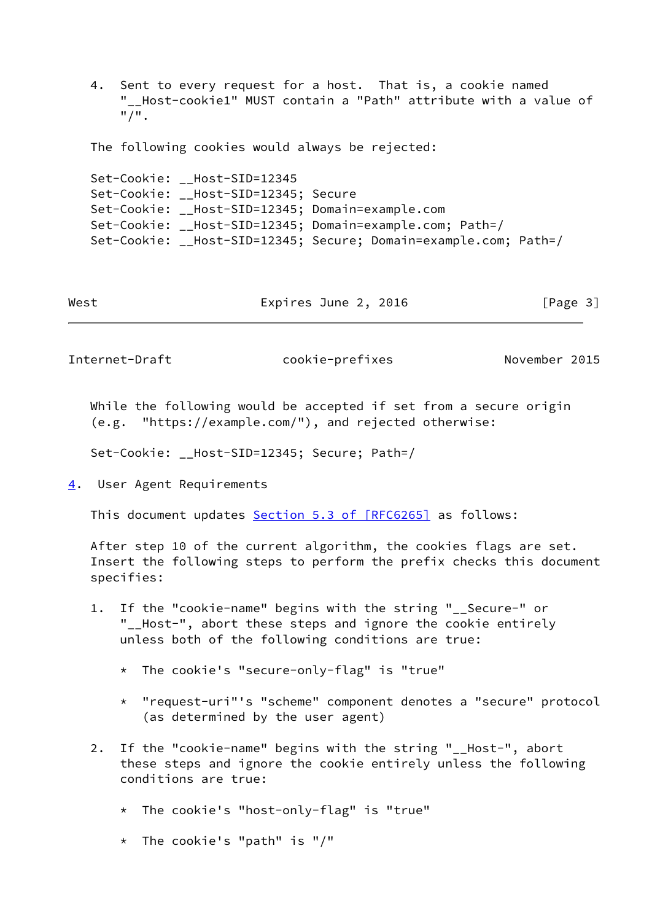4. Sent to every request for a host. That is, a cookie named "\_\_Host-cookie1" MUST contain a "Path" attribute with a value of "/".

The following cookies would always be rejected:

 Set-Cookie: \_\_Host-SID=12345 Set-Cookie: \_\_Host-SID=12345; Secure Set-Cookie: \_\_Host-SID=12345; Domain=example.com Set-Cookie: \_\_Host-SID=12345; Domain=example.com; Path=/ Set-Cookie: \_\_Host-SID=12345; Secure; Domain=example.com; Path=/

|  | West | Expires June 2, 2016 | [Page 3] |
|--|------|----------------------|----------|
|--|------|----------------------|----------|

<span id="page-3-1"></span>Internet-Draft cookie-prefixes November 2015

 While the following would be accepted if set from a secure origin (e.g. "https://example.com/"), and rejected otherwise:

Set-Cookie: \_\_Host-SID=12345; Secure; Path=/

<span id="page-3-0"></span>[4](#page-3-0). User Agent Requirements

This document updates Section [5.3 of \[RFC6265\]](https://datatracker.ietf.org/doc/pdf/rfc6265#section-5.3) as follows:

 After step 10 of the current algorithm, the cookies flags are set. Insert the following steps to perform the prefix checks this document specifies:

- 1. If the "cookie-name" begins with the string "\_\_Secure-" or "\_\_Host-", abort these steps and ignore the cookie entirely unless both of the following conditions are true:
	- \* The cookie's "secure-only-flag" is "true"
	- \* "request-uri"'s "scheme" component denotes a "secure" protocol (as determined by the user agent)
- 2. If the "cookie-name" begins with the string "\_\_Host-", abort these steps and ignore the cookie entirely unless the following conditions are true:
	- \* The cookie's "host-only-flag" is "true"
	- \* The cookie's "path" is "/"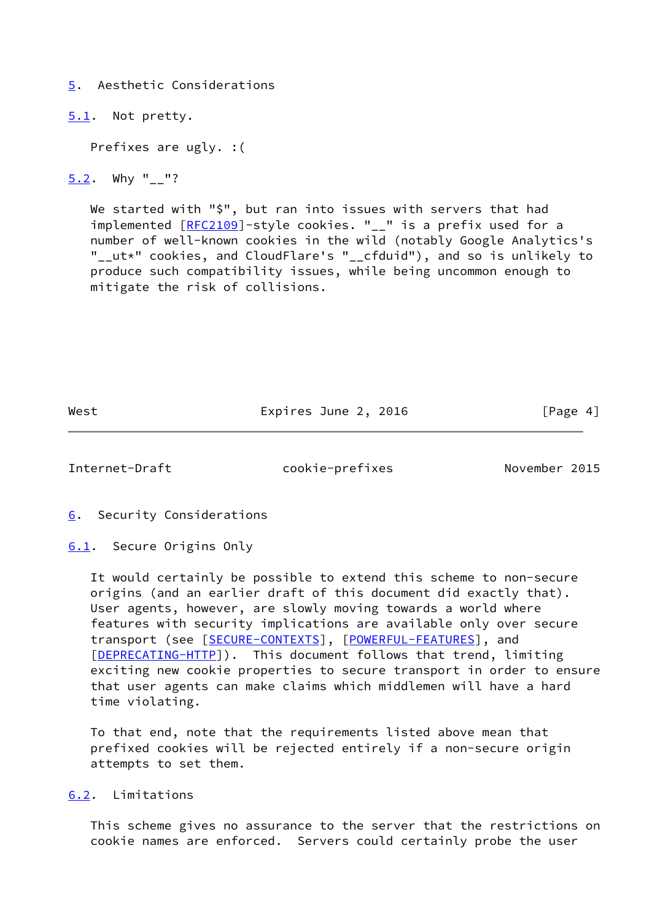<span id="page-4-0"></span>[5](#page-4-0). Aesthetic Considerations

<span id="page-4-1"></span>[5.1](#page-4-1). Not pretty.

Prefixes are ugly. :(

<span id="page-4-2"></span>[5.2](#page-4-2). Why "\_\_"?

 We started with "\$", but ran into issues with servers that had implemented [\[RFC2109](https://datatracker.ietf.org/doc/pdf/rfc2109)]-style cookies. "\_\_" is a prefix used for a number of well-known cookies in the wild (notably Google Analytics's "\_\_ut\*" cookies, and CloudFlare's "\_\_cfduid"), and so is unlikely to produce such compatibility issues, while being uncommon enough to mitigate the risk of collisions.

West Expires June 2, 2016 [Page 4]

<span id="page-4-4"></span>Internet-Draft cookie-prefixes November 2015

<span id="page-4-3"></span>[6](#page-4-3). Security Considerations

<span id="page-4-5"></span>[6.1](#page-4-5). Secure Origins Only

 It would certainly be possible to extend this scheme to non-secure origins (and an earlier draft of this document did exactly that). User agents, however, are slowly moving towards a world where features with security implications are available only over secure transport (see [\[SECURE-CONTEXTS](#page-5-4)], [[POWERFUL-FEATURES\]](#page-5-5), and [\[DEPRECATING-HTTP](#page-5-6)]). This document follows that trend, limiting exciting new cookie properties to secure transport in order to ensure that user agents can make claims which middlemen will have a hard time violating.

 To that end, note that the requirements listed above mean that prefixed cookies will be rejected entirely if a non-secure origin attempts to set them.

<span id="page-4-6"></span>[6.2](#page-4-6). Limitations

 This scheme gives no assurance to the server that the restrictions on cookie names are enforced. Servers could certainly probe the user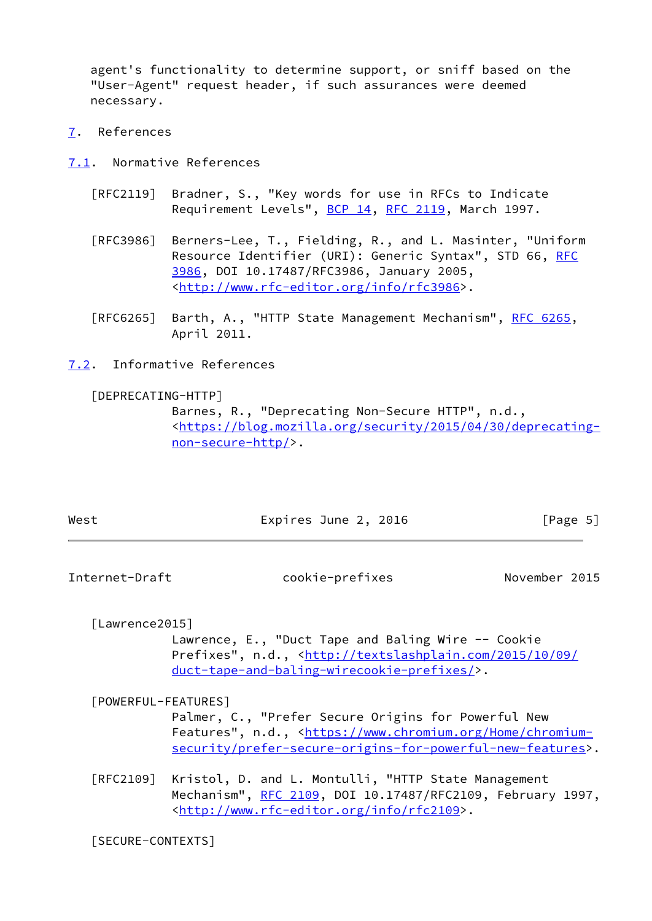agent's functionality to determine support, or sniff based on the "User-Agent" request header, if such assurances were deemed necessary.

- <span id="page-5-0"></span>[7](#page-5-0). References
- <span id="page-5-1"></span>[7.1](#page-5-1). Normative References
	- [RFC2119] Bradner, S., "Key words for use in RFCs to Indicate Requirement Levels", [BCP 14](https://datatracker.ietf.org/doc/pdf/bcp14), [RFC 2119](https://datatracker.ietf.org/doc/pdf/rfc2119), March 1997.
	- [RFC3986] Berners-Lee, T., Fielding, R., and L. Masinter, "Uniform Resource Identifier (URI): Generic Syntax", STD 66, [RFC](https://datatracker.ietf.org/doc/pdf/rfc3986) [3986,](https://datatracker.ietf.org/doc/pdf/rfc3986) DOI 10.17487/RFC3986, January 2005, <<http://www.rfc-editor.org/info/rfc3986>>.
	- [RFC6265] Barth, A., "HTTP State Management Mechanism", [RFC 6265](https://datatracker.ietf.org/doc/pdf/rfc6265), April 2011.
- <span id="page-5-2"></span>[7.2](#page-5-2). Informative References

<span id="page-5-6"></span>[DEPRECATING-HTTP]

 Barnes, R., "Deprecating Non-Secure HTTP", n.d., <[https://blog.mozilla.org/security/2015/04/30/deprecating](https://blog.mozilla.org/security/2015/04/30/deprecating-non-secure-http/) [non-secure-http/>](https://blog.mozilla.org/security/2015/04/30/deprecating-non-secure-http/).

| West | Expires June 2, 2016 | [Page 5] |  |
|------|----------------------|----------|--|
|      |                      |          |  |

<span id="page-5-3"></span>Internet-Draft cookie-prefixes November 2015

<span id="page-5-7"></span>[Lawrence2015]

 Lawrence, E., "Duct Tape and Baling Wire -- Cookie Prefixes", n.d., [<http://textslashplain.com/2015/10/09/](http://textslashplain.com/2015/10/09/duct-tape-and-baling-wirecookie-prefixes/) [duct-tape-and-baling-wirecookie-prefixes/>](http://textslashplain.com/2015/10/09/duct-tape-and-baling-wirecookie-prefixes/).

<span id="page-5-5"></span>[POWERFUL-FEATURES]

 Palmer, C., "Prefer Secure Origins for Powerful New Features", n.d., [<https://www.chromium.org/Home/chromium](https://www.chromium.org/Home/chromium-security/prefer-secure-origins-for-powerful-new-features) [security/prefer-secure-origins-for-powerful-new-features>](https://www.chromium.org/Home/chromium-security/prefer-secure-origins-for-powerful-new-features).

 [RFC2109] Kristol, D. and L. Montulli, "HTTP State Management Mechanism", [RFC 2109,](https://datatracker.ietf.org/doc/pdf/rfc2109) DOI 10.17487/RFC2109, February 1997, <<http://www.rfc-editor.org/info/rfc2109>>.

<span id="page-5-4"></span>[SECURE-CONTEXTS]